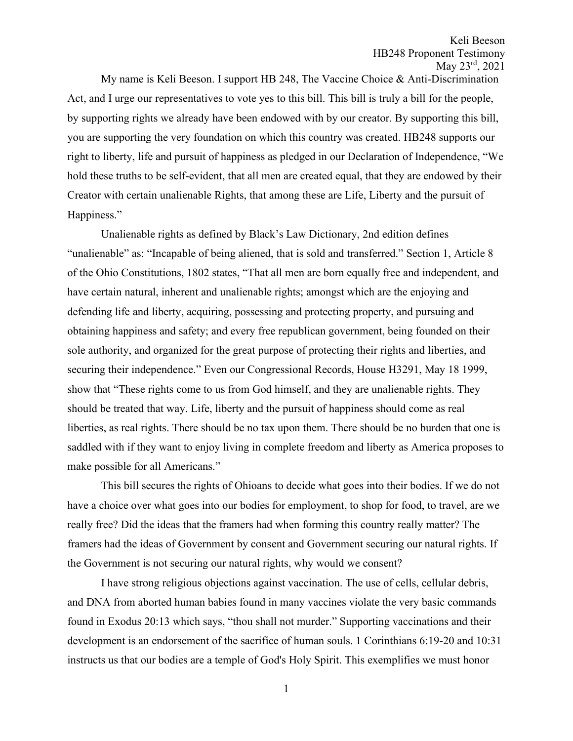My name is Keli Beeson. I support HB 248, The Vaccine Choice & Anti-Discrimination Act, and I urge our representatives to vote yes to this bill. This bill is truly a bill for the people, by supporting rights we already have been endowed with by our creator. By supporting this bill, you are supporting the very foundation on which this country was created. HB248 supports our right to liberty, life and pursuit of happiness as pledged in our Declaration of Independence, "We hold these truths to be self-evident, that all men are created equal, that they are endowed by their Creator with certain unalienable Rights, that among these are Life, Liberty and the pursuit of Happiness."

Unalienable rights as defined by Black's Law Dictionary, 2nd edition defines "unalienable" as: "Incapable of being aliened, that is sold and transferred." Section 1, Article 8 of the Ohio Constitutions, 1802 states, "That all men are born equally free and independent, and have certain natural, inherent and unalienable rights; amongst which are the enjoying and defending life and liberty, acquiring, possessing and protecting property, and pursuing and obtaining happiness and safety; and every free republican government, being founded on their sole authority, and organized for the great purpose of protecting their rights and liberties, and securing their independence." Even our Congressional Records, House H3291, May 18 1999, show that "These rights come to us from God himself, and they are unalienable rights. They should be treated that way. Life, liberty and the pursuit of happiness should come as real liberties, as real rights. There should be no tax upon them. There should be no burden that one is saddled with if they want to enjoy living in complete freedom and liberty as America proposes to make possible for all Americans."

This bill secures the rights of Ohioans to decide what goes into their bodies. If we do not have a choice over what goes into our bodies for employment, to shop for food, to travel, are we really free? Did the ideas that the framers had when forming this country really matter? The framers had the ideas of Government by consent and Government securing our natural rights. If the Government is not securing our natural rights, why would we consent?

I have strong religious objections against vaccination. The use of cells, cellular debris, and DNA from aborted human babies found in many vaccines violate the very basic commands found in Exodus 20:13 which says, "thou shall not murder." Supporting vaccinations and their development is an endorsement of the sacrifice of human souls. 1 Corinthians 6:19-20 and 10:31 instructs us that our bodies are a temple of God's Holy Spirit. This exemplifies we must honor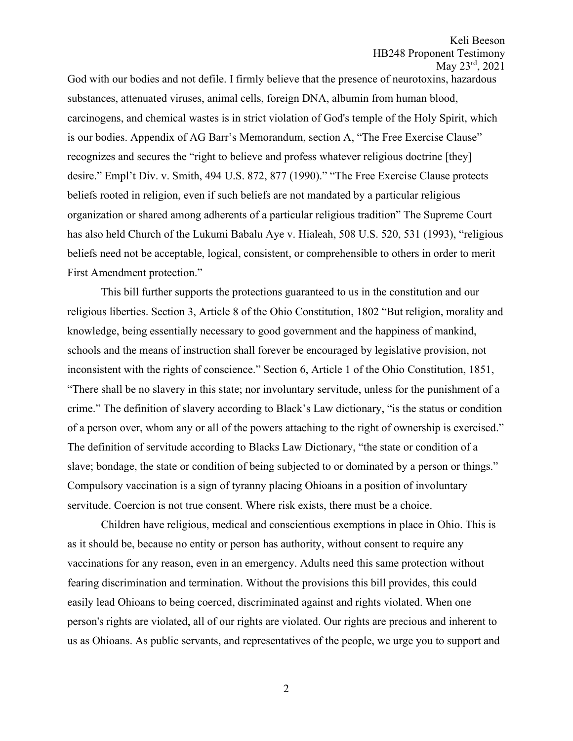God with our bodies and not defile. I firmly believe that the presence of neurotoxins, hazardous substances, attenuated viruses, animal cells, foreign DNA, albumin from human blood, carcinogens, and chemical wastes is in strict violation of God's temple of the Holy Spirit, which is our bodies. Appendix of AG Barr's Memorandum, section A, "The Free Exercise Clause" recognizes and secures the "right to believe and profess whatever religious doctrine [they] desire." Empl't Div. v. Smith, 494 U.S. 872, 877 (1990)." "The Free Exercise Clause protects beliefs rooted in religion, even if such beliefs are not mandated by a particular religious organization or shared among adherents of a particular religious tradition" The Supreme Court has also held Church of the Lukumi Babalu Aye v. Hialeah, 508 U.S. 520, 531 (1993), "religious beliefs need not be acceptable, logical, consistent, or comprehensible to others in order to merit First Amendment protection."

This bill further supports the protections guaranteed to us in the constitution and our religious liberties. Section 3, Article 8 of the Ohio Constitution, 1802 "But religion, morality and knowledge, being essentially necessary to good government and the happiness of mankind, schools and the means of instruction shall forever be encouraged by legislative provision, not inconsistent with the rights of conscience." Section 6, Article 1 of the Ohio Constitution, 1851, "There shall be no slavery in this state; nor involuntary servitude, unless for the punishment of a crime." The definition of slavery according to Black's Law dictionary, "is the status or condition of a person over, whom any or all of the powers attaching to the right of ownership is exercised." The definition of servitude according to Blacks Law Dictionary, "the state or condition of a slave; bondage, the state or condition of being subjected to or dominated by a person or things." Compulsory vaccination is a sign of tyranny placing Ohioans in a position of involuntary servitude. Coercion is not true consent. Where risk exists, there must be a choice.

Children have religious, medical and conscientious exemptions in place in Ohio. This is as it should be, because no entity or person has authority, without consent to require any vaccinations for any reason, even in an emergency. Adults need this same protection without fearing discrimination and termination. Without the provisions this bill provides, this could easily lead Ohioans to being coerced, discriminated against and rights violated. When one person's rights are violated, all of our rights are violated. Our rights are precious and inherent to us as Ohioans. As public servants, and representatives of the people, we urge you to support and

2